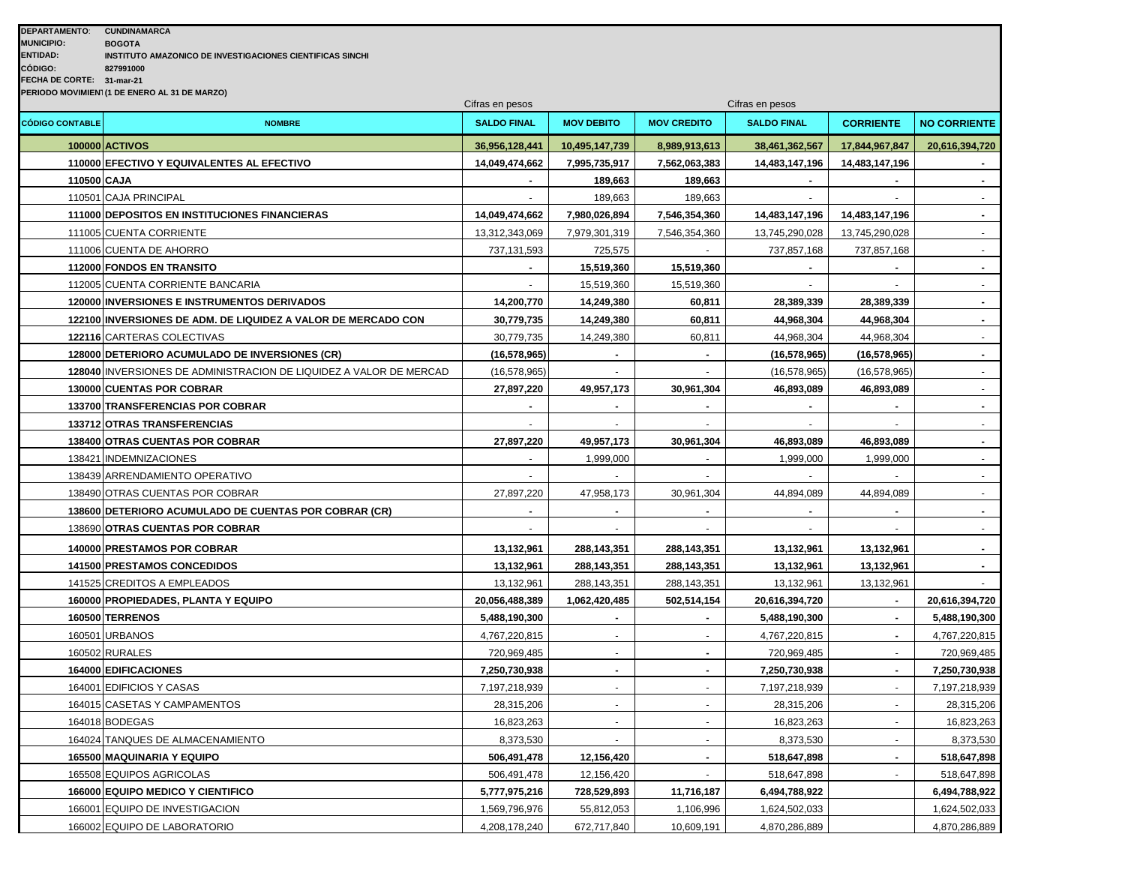| <b>DEPARTAMENTO:</b>                         | <b>CUNDINAMARCA</b>                                       |  |  |  |  |  |  |
|----------------------------------------------|-----------------------------------------------------------|--|--|--|--|--|--|
| <b>MUNICIPIO:</b>                            | <b>BOGOTA</b>                                             |  |  |  |  |  |  |
| <b>ENTIDAD:</b>                              | INSTITUTO AMAZONICO DE INVESTIGACIONES CIENTIFICAS SINCHI |  |  |  |  |  |  |
| CÓDIGO:                                      | 827991000                                                 |  |  |  |  |  |  |
| <b>FECHA DE CORTE:</b>                       | 31-mar-21                                                 |  |  |  |  |  |  |
| PERIODO MOVIMIEN (1 DE ENERO AL 31 DE MARZO) |                                                           |  |  |  |  |  |  |

| <b>CÓDIGO CONTABLE</b> | <b>NOMBRE</b>                                                      | Ullius vii pusss<br><b>SALDO FINAL</b> | <b>MOV DEBITO</b> | <b>MOV CREDITO</b>    | omaa on poooo<br><b>SALDO FINAL</b> | <b>CORRIENTE</b> | <b>NO CORRIENTE</b> |
|------------------------|--------------------------------------------------------------------|----------------------------------------|-------------------|-----------------------|-------------------------------------|------------------|---------------------|
|                        | 100000 ACTIVOS                                                     | 36,956,128,441                         | 10,495,147,739    | 8,989,913,613         | 38,461,362,567                      | 17,844,967,847   | 20,616,394,720      |
|                        | 110000 EFECTIVO Y EQUIVALENTES AL EFECTIVO                         | 14,049,474,662                         | 7,995,735,917     | 7,562,063,383         | 14,483,147,196                      | 14,483,147,196   |                     |
| 110500 CAJA            |                                                                    |                                        | 189,663           | 189,663               |                                     |                  | $\blacksquare$      |
|                        | 110501 CAJA PRINCIPAL                                              |                                        | 189,663           | 189,663               |                                     |                  |                     |
|                        | 111000 DEPOSITOS EN INSTITUCIONES FINANCIERAS                      | 14,049,474,662                         | 7,980,026,894     | 7,546,354,360         | 14,483,147,196                      | 14,483,147,196   |                     |
|                        | 111005 CUENTA CORRIENTE                                            | 13,312,343,069                         | 7,979,301,319     | 7,546,354,360         | 13,745,290,028                      | 13,745,290,028   |                     |
|                        | 111006 CUENTA DE AHORRO                                            | 737,131,593                            | 725,575           |                       | 737,857,168                         | 737,857,168      | $\sim$              |
|                        | 112000 FONDOS EN TRANSITO                                          |                                        | 15,519,360        | 15,519,360            | $\blacksquare$                      |                  | $\blacksquare$      |
|                        | 112005 CUENTA CORRIENTE BANCARIA                                   |                                        | 15,519,360        | 15,519,360            |                                     |                  |                     |
|                        | <b>120000 INVERSIONES E INSTRUMENTOS DERIVADOS</b>                 | 14,200,770                             | 14,249,380        | 60,811                | 28,389,339                          | 28,389,339       | $\blacksquare$      |
|                        | 122100 INVERSIONES DE ADM. DE LIQUIDEZ A VALOR DE MERCADO CON      | 30,779,735                             | 14,249,380        | 60,811                | 44,968,304                          | 44,968,304       | $\blacksquare$      |
|                        | 122116 CARTERAS COLECTIVAS                                         | 30,779,735                             | 14,249,380        | 60,811                | 44,968,304                          | 44,968,304       | $\bullet$           |
|                        | 128000 DETERIORO ACUMULADO DE INVERSIONES (CR)                     | (16, 578, 965)                         |                   |                       | (16, 578, 965)                      | (16, 578, 965)   |                     |
|                        | 128040 INVERSIONES DE ADMINISTRACION DE LIQUIDEZ A VALOR DE MERCAD | (16, 578, 965)                         |                   |                       | (16, 578, 965)                      | (16, 578, 965)   |                     |
|                        | <b>130000 CUENTAS POR COBRAR</b>                                   | 27,897,220                             | 49,957,173        | 30,961,304            | 46,893,089                          | 46,893,089       |                     |
|                        | 133700 TRANSFERENCIAS POR COBRAR                                   |                                        |                   |                       |                                     |                  | $\sim$              |
|                        | 133712 OTRAS TRANSFERENCIAS                                        |                                        | $\sim$            |                       |                                     |                  | $\sim$              |
|                        | 138400 OTRAS CUENTAS POR COBRAR                                    | 27,897,220                             | 49,957,173        | 30,961,304            | 46,893,089                          | 46,893,089       | $\blacksquare$      |
|                        | 138421 INDEMNIZACIONES                                             |                                        | 1,999,000         |                       | 1,999,000                           | 1,999,000        |                     |
|                        | 138439 ARRENDAMIENTO OPERATIVO                                     |                                        |                   |                       |                                     |                  |                     |
|                        | 138490 OTRAS CUENTAS POR COBRAR                                    | 27,897,220                             | 47,958,173        | 30,961,304            | 44,894,089                          | 44,894,089       | $\bullet$           |
|                        | 138600 DETERIORO ACUMULADO DE CUENTAS POR COBRAR (CR)              |                                        |                   |                       | $\sim$                              |                  | $\sim$              |
|                        | 138690 OTRAS CUENTAS POR COBRAR                                    |                                        |                   |                       |                                     |                  |                     |
|                        | 140000 PRESTAMOS POR COBRAR                                        | 13,132,961                             | 288, 143, 351     | 288, 143, 351         | 13,132,961                          | 13,132,961       |                     |
|                        | 141500 PRESTAMOS CONCEDIDOS                                        | 13,132,961                             | 288, 143, 351     | 288, 143, 351         | 13,132,961                          | 13,132,961       |                     |
|                        | 141525 CREDITOS A EMPLEADOS                                        | 13,132,961                             | 288,143,351       | 288, 143, 351         | 13,132,961                          | 13,132,961       |                     |
|                        | 160000 PROPIEDADES, PLANTA Y EQUIPO                                | 20,056,488,389                         | 1,062,420,485     | 502,514,154           | 20,616,394,720                      |                  | 20,616,394,720      |
|                        | 160500 TERRENOS                                                    | 5,488,190,300                          |                   | $\blacksquare$        | 5,488,190,300                       | $\blacksquare$   | 5,488,190,300       |
|                        | 160501 URBANOS                                                     | 4,767,220,815                          |                   |                       | 4,767,220,815                       |                  | 4,767,220,815       |
|                        | 160502 RURALES                                                     | 720,969,485                            |                   |                       | 720,969,485                         |                  | 720,969,485         |
|                        | 164000 EDIFICACIONES                                               | 7,250,730,938                          |                   | $\blacksquare$        | 7,250,730,938                       |                  | 7,250,730,938       |
|                        | 164001 EDIFICIOS Y CASAS                                           | 7,197,218,939                          | $\omega$          | $\tilde{\phantom{a}}$ | 7,197,218,939                       |                  | 7,197,218,939       |
|                        | 164015 CASETAS Y CAMPAMENTOS                                       | 28,315,206                             | $\blacksquare$    |                       | 28,315,206                          |                  | 28,315,206          |
|                        | 164018 BODEGAS                                                     | 16,823,263                             |                   |                       | 16,823,263                          |                  | 16,823,263          |
|                        | 164024 TANQUES DE ALMACENAMIENTO                                   | 8,373,530                              |                   |                       | 8,373,530                           |                  | 8,373,530           |
|                        | <b>165500 MAQUINARIA Y EQUIPO</b>                                  | 506,491,478                            | 12,156,420        | $\blacksquare$        | 518,647,898                         |                  | 518,647,898         |
|                        | 165508 EQUIPOS AGRICOLAS                                           | 506,491,478                            | 12,156,420        |                       | 518,647,898                         |                  | 518,647,898         |
|                        | 166000 EQUIPO MEDICO Y CIENTIFICO                                  | 5,777,975,216                          | 728,529,893       | 11,716,187            | 6,494,788,922                       |                  | 6,494,788,922       |
|                        | 166001 EQUIPO DE INVESTIGACION                                     | 1,569,796,976                          | 55,812,053        | 1,106,996             | 1,624,502,033                       |                  | 1,624,502,033       |
|                        | 166002 EQUIPO DE LABORATORIO                                       | 4,208,178,240                          | 672,717,840       | 10,609,191            | 4,870,286,889                       |                  | 4,870,286,889       |

Cifras en pesos Cifras en pesos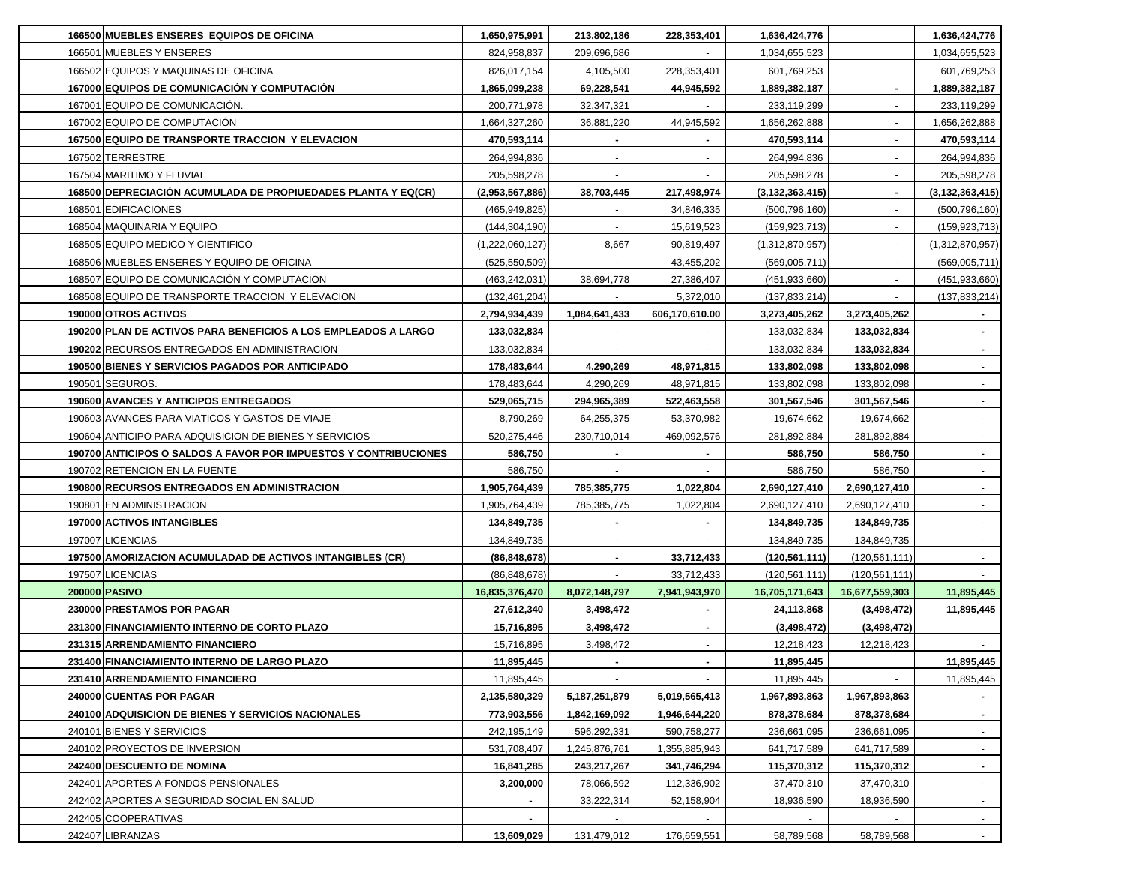| 166500 MUEBLES ENSERES EQUIPOS DE OFICINA                        | 1,650,975,991   | 213,802,186      | 228,353,401    | 1,636,424,776      |                 | 1,636,424,776      |
|------------------------------------------------------------------|-----------------|------------------|----------------|--------------------|-----------------|--------------------|
| 166501 MUEBLES Y ENSERES                                         | 824,958,837     | 209,696,686      |                | 1,034,655,523      |                 | 1,034,655,523      |
| 166502 EQUIPOS Y MAQUINAS DE OFICINA                             | 826,017,154     | 4,105,500        | 228,353,401    | 601,769,253        |                 | 601,769,253        |
| 167000 EQUIPOS DE COMUNICACIÓN Y COMPUTACIÓN                     | 1,865,099,238   | 69,228,541       | 44,945,592     | 1,889,382,187      | $\blacksquare$  | 1,889,382,187      |
| 167001 EQUIPO DE COMUNICACIÓN.                                   | 200,771,978     | 32, 347, 321     | $\sim$         | 233,119,299        | $\blacksquare$  | 233,119,299        |
| 167002 EQUIPO DE COMPUTACIÓN                                     | 1,664,327,260   | 36,881,220       | 44,945,592     | 1,656,262,888      | $\blacksquare$  | 1,656,262,888      |
| 167500 EQUIPO DE TRANSPORTE TRACCION Y ELEVACION                 | 470,593,114     |                  | $\blacksquare$ | 470,593,114        | $\blacksquare$  | 470,593,114        |
| 167502 TERRESTRE                                                 | 264,994,836     |                  | $\sim$         | 264,994,836        |                 | 264,994,836        |
| 167504 MARITIMO Y FLUVIAL                                        | 205,598,278     |                  |                | 205,598,278        |                 | 205,598,278        |
| 168500 DEPRECIACIÓN ACUMULADA DE PROPIUEDADES PLANTA Y EQ(CR)    | (2,953,567,886) | 38,703,445       | 217,498,974    | (3, 132, 363, 415) |                 | (3, 132, 363, 415) |
| 168501 EDIFICACIONES                                             | (465,949,825)   |                  | 34,846,335     | (500, 796, 160)    |                 | (500, 796, 160)    |
| 168504 MAQUINARIA Y EQUIPO                                       | (144, 304, 190) |                  | 15,619,523     | (159, 923, 713)    |                 | (159, 923, 713)    |
| 168505 EQUIPO MEDICO Y CIENTIFICO                                | (1,222,060,127) | 8,667            | 90,819,497     | (1,312,870,957)    |                 | (1,312,870,957)    |
| 168506 MUEBLES ENSERES Y EQUIPO DE OFICINA                       | (525, 550, 509) |                  | 43,455,202     | (569,005,711)      |                 | (569,005,711)      |
| 168507 EQUIPO DE COMUNICACIÓN Y COMPUTACION                      | (463,242,031)   | 38,694,778       | 27,386,407     | (451,933,660)      |                 | (451, 933, 660)    |
| 168508 EQUIPO DE TRANSPORTE TRACCION Y ELEVACION                 | (132, 461, 204) |                  | 5,372,010      | (137, 833, 214)    |                 | (137, 833, 214)    |
| 190000 OTROS ACTIVOS                                             | 2,794,934,439   | 1,084,641,433    | 606,170,610.00 | 3,273,405,262      | 3,273,405,262   |                    |
| 190200 PLAN DE ACTIVOS PARA BENEFICIOS A LOS EMPLEADOS A LARGO   | 133,032,834     |                  |                | 133,032,834        | 133,032,834     |                    |
| 190202 RECURSOS ENTREGADOS EN ADMINISTRACION                     | 133,032,834     |                  |                | 133,032,834        | 133,032,834     |                    |
| 190500 BIENES Y SERVICIOS PAGADOS POR ANTICIPADO                 | 178,483,644     | 4,290,269        | 48,971,815     | 133,802,098        | 133,802,098     |                    |
| 190501 SEGUROS.                                                  | 178,483,644     | 4,290,269        | 48,971,815     | 133,802,098        | 133,802,098     |                    |
| 190600 AVANCES Y ANTICIPOS ENTREGADOS                            | 529,065,715     | 294,965,389      | 522,463,558    | 301,567,546        | 301,567,546     |                    |
| 190603 AVANCES PARA VIATICOS Y GASTOS DE VIAJE                   | 8,790,269       | 64,255,375       | 53,370,982     | 19,674,662         | 19,674,662      |                    |
| 190604 ANTICIPO PARA ADQUISICION DE BIENES Y SERVICIOS           | 520,275,446     | 230,710,014      | 469,092,576    | 281,892,884        | 281,892,884     |                    |
| 190700 ANTICIPOS O SALDOS A FAVOR POR IMPUESTOS Y CONTRIBUCIONES | 586,750         |                  |                | 586,750            | 586,750         |                    |
| 190702 RETENCION EN LA FUENTE                                    | 586,750         |                  |                | 586,750            | 586,750         |                    |
| 190800 RECURSOS ENTREGADOS EN ADMINISTRACION                     | 1,905,764,439   | 785,385,775      | 1,022,804      | 2,690,127,410      | 2,690,127,410   |                    |
| 190801 EN ADMINISTRACION                                         | 1,905,764,439   | 785,385,775      | 1,022,804      | 2,690,127,410      | 2,690,127,410   |                    |
| 197000 ACTIVOS INTANGIBLES                                       | 134,849,735     | $\blacksquare$   | $\blacksquare$ | 134,849,735        | 134,849,735     | $\sim$             |
| 197007 LICENCIAS                                                 | 134,849,735     | $\sim$           | $\sim$         | 134,849,735        | 134,849,735     | $\sim$             |
| 197500 AMORIZACION ACUMULADAD DE ACTIVOS INTANGIBLES (CR)        | (86, 848, 678)  | $\blacksquare$   | 33,712,433     | (120, 561, 111)    | (120, 561, 111) | $\sim$             |
| 197507 LICENCIAS                                                 | (86, 848, 678)  |                  | 33,712,433     | (120, 561, 111)    | (120, 561, 111) |                    |
| 200000 PASIVO                                                    | 16,835,376,470  | 8,072,148,797    | 7,941,943,970  | 16,705,171,643     | 16,677,559,303  | 11,895,445         |
| 230000 PRESTAMOS POR PAGAR                                       | 27,612,340      | 3,498,472        |                | 24,113,868         | (3,498,472)     | 11,895,445         |
| 231300 FINANCIAMIENTO INTERNO DE CORTO PLAZO                     | 15,716,895      | 3,498,472        |                | (3, 498, 472)      | (3,498,472)     |                    |
| 231315 ARRENDAMIENTO FINANCIERO                                  | 15,716,895      | 3,498,472        | $\blacksquare$ | 12,218,423         | 12,218,423      |                    |
| 231400 FINANCIAMIENTO INTERNO DE LARGO PLAZO                     | 11,895,445      |                  |                | 11,895,445         |                 | 11,895,445         |
| 231410 ARRENDAMIENTO FINANCIERO                                  | 11,895,445      |                  |                | 11,895,445         |                 | 11,895,445         |
| 240000 CUENTAS POR PAGAR                                         | 2,135,580,329   | 5, 187, 251, 879 | 5,019,565,413  | 1,967,893,863      | 1,967,893,863   |                    |
| 240100 ADQUISICION DE BIENES Y SERVICIOS NACIONALES              | 773,903,556     | 1,842,169,092    | 1,946,644,220  | 878,378,684        | 878,378,684     | $\sim$             |
| 240101 BIENES Y SERVICIOS                                        | 242, 195, 149   | 596,292,331      | 590,758,277    | 236,661,095        | 236,661,095     | $\sim$             |
| 240102 PROYECTOS DE INVERSION                                    | 531,708,407     | 1,245,876,761    | 1,355,885,943  | 641,717,589        | 641,717,589     | $\sim$             |
| 242400 DESCUENTO DE NOMINA                                       | 16,841,285      | 243,217,267      | 341,746,294    | 115,370,312        | 115,370,312     | $\blacksquare$     |
| 242401 APORTES A FONDOS PENSIONALES                              | 3,200,000       | 78,066,592       | 112,336,902    | 37,470,310         | 37,470,310      | $\sim$             |
| 242402 APORTES A SEGURIDAD SOCIAL EN SALUD                       |                 | 33,222,314       | 52,158,904     | 18,936,590         | 18,936,590      | $\sim$             |
| 242405 COOPERATIVAS                                              |                 |                  |                |                    |                 |                    |
|                                                                  |                 |                  |                |                    |                 |                    |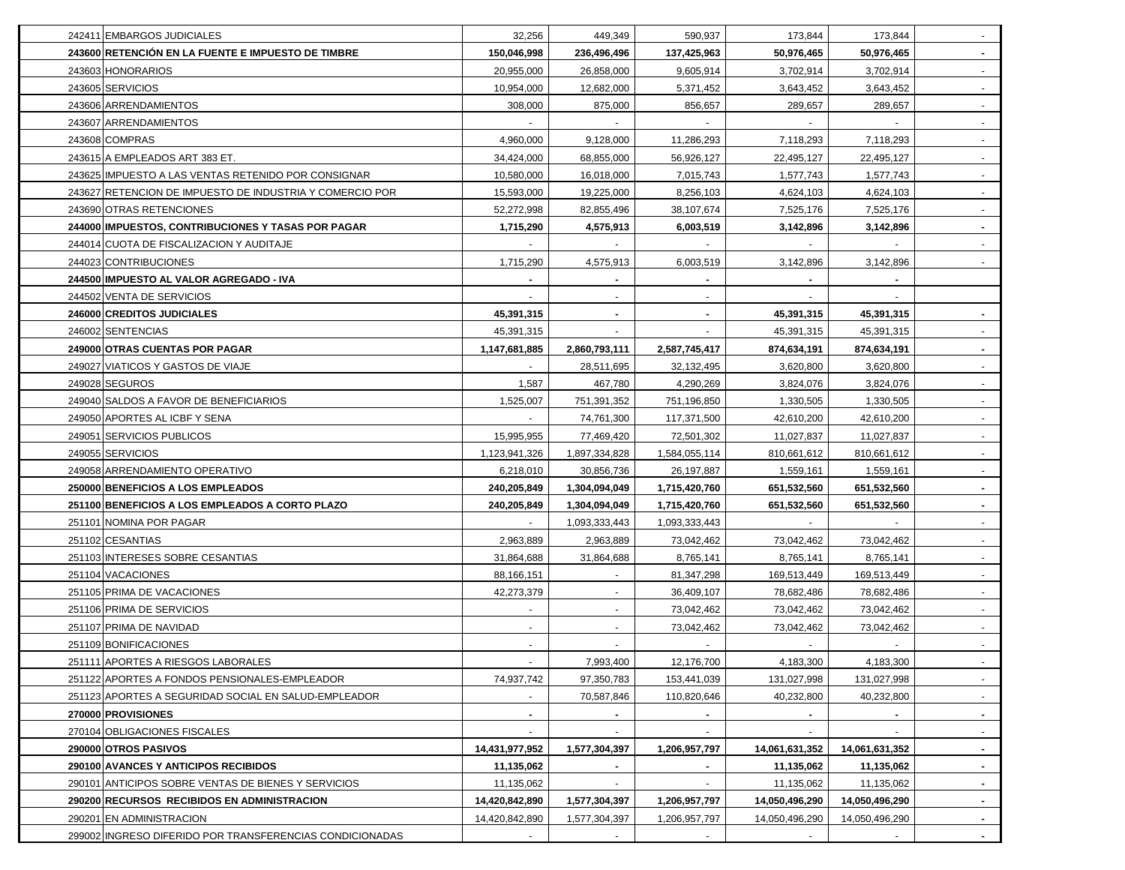| 242411 EMBARGOS JUDICIALES                               | 32,256         | 449,349       | 590,937       | 173,844        | 173,844        |                |
|----------------------------------------------------------|----------------|---------------|---------------|----------------|----------------|----------------|
| 243600 RETENCIÓN EN LA FUENTE E IMPUESTO DE TIMBRE       | 150,046,998    | 236,496,496   | 137,425,963   | 50,976,465     | 50,976,465     | $\sim$         |
| 243603 HONORARIOS                                        | 20,955,000     | 26,858,000    | 9,605,914     | 3,702,914      | 3,702,914      | $\sim$         |
| 243605 SERVICIOS                                         | 10,954,000     | 12,682,000    | 5,371,452     | 3,643,452      | 3,643,452      | $\sim$         |
| 243606 ARRENDAMIENTOS                                    | 308,000        | 875,000       | 856,657       | 289,657        | 289,657        | $\sim$         |
| 243607 ARRENDAMIENTOS                                    |                |               |               |                |                |                |
| 243608 COMPRAS                                           | 4,960,000      | 9,128,000     | 11,286,293    | 7,118,293      | 7,118,293      | $\sim$         |
| 243615 A EMPLEADOS ART 383 ET.                           | 34,424,000     | 68,855,000    | 56,926,127    | 22,495,127     | 22,495,127     |                |
| 243625 IMPUESTO A LAS VENTAS RETENIDO POR CONSIGNAR      | 10,580,000     | 16,018,000    | 7,015,743     | 1,577,743      | 1,577,743      | $\sim$         |
| 243627 RETENCION DE IMPUESTO DE INDUSTRIA Y COMERCIO POR | 15,593,000     | 19,225,000    | 8,256,103     | 4,624,103      | 4,624,103      |                |
| 243690 OTRAS RETENCIONES                                 | 52,272,998     | 82,855,496    | 38,107,674    | 7,525,176      | 7,525,176      |                |
| 244000 IMPUESTOS, CONTRIBUCIONES Y TASAS POR PAGAR       | 1,715,290      | 4,575,913     | 6,003,519     | 3,142,896      | 3,142,896      |                |
| 244014 CUOTA DE FISCALIZACION Y AUDITAJE                 |                |               |               |                |                |                |
| 244023 CONTRIBUCIONES                                    | 1,715,290      | 4,575,913     | 6,003,519     | 3,142,896      | 3,142,896      |                |
| 244500 IMPUESTO AL VALOR AGREGADO - IVA                  |                |               |               |                |                |                |
| 244502 VENTA DE SERVICIOS                                |                |               |               |                |                |                |
| 246000 CREDITOS JUDICIALES                               | 45,391,315     |               |               | 45,391,315     | 45,391,315     |                |
| 246002 SENTENCIAS                                        | 45,391,315     |               |               | 45,391,315     | 45,391,315     |                |
| 249000 OTRAS CUENTAS POR PAGAR                           | 1,147,681,885  | 2,860,793,111 | 2,587,745,417 | 874,634,191    | 874,634,191    |                |
| 249027 VIATICOS Y GASTOS DE VIAJE                        |                | 28,511,695    | 32,132,495    | 3,620,800      | 3,620,800      |                |
| 249028 SEGUROS                                           | 1,587          | 467,780       | 4,290,269     | 3,824,076      | 3,824,076      |                |
| 249040 SALDOS A FAVOR DE BENEFICIARIOS                   | 1,525,007      | 751,391,352   | 751,196,850   | 1,330,505      | 1,330,505      |                |
| 249050 APORTES AL ICBF Y SENA                            |                | 74,761,300    | 117,371,500   | 42,610,200     | 42,610,200     |                |
| 249051 SERVICIOS PUBLICOS                                | 15,995,955     | 77,469,420    | 72,501,302    | 11,027,837     | 11,027,837     |                |
| 249055 SERVICIOS                                         | 1,123,941,326  | 1,897,334,828 | 1,584,055,114 | 810,661,612    | 810,661,612    |                |
| 249058 ARRENDAMIENTO OPERATIVO                           | 6,218,010      | 30,856,736    | 26,197,887    | 1,559,161      | 1,559,161      | $\sim$         |
| 250000 BENEFICIOS A LOS EMPLEADOS                        | 240,205,849    | 1,304,094,049 | 1,715,420,760 | 651,532,560    | 651,532,560    | $\sim$         |
| 251100 BENEFICIOS A LOS EMPLEADOS A CORTO PLAZO          | 240,205,849    | 1,304,094,049 | 1,715,420,760 | 651,532,560    | 651,532,560    | $\sim$         |
| 251101 NOMINA POR PAGAR                                  |                | 1,093,333,443 | 1,093,333,443 |                |                | $\sim$         |
| 251102 CESANTIAS                                         | 2,963,889      | 2,963,889     | 73,042,462    | 73,042,462     | 73,042,462     | $\sim$         |
| 251103 INTERESES SOBRE CESANTIAS                         | 31,864,688     | 31,864,688    | 8,765,141     | 8,765,141      | 8,765,141      | $\sim$         |
| 251104 VACACIONES                                        | 88,166,151     |               | 81,347,298    | 169,513,449    | 169,513,449    | $\sim$         |
| 251105 PRIMA DE VACACIONES                               | 42,273,379     |               | 36,409,107    | 78,682,486     | 78,682,486     | $\sim$         |
| 251106 PRIMA DE SERVICIOS                                |                |               | 73,042,462    | 73,042,462     | 73,042,462     |                |
| 251107 PRIMA DE NAVIDAD                                  |                |               | 73,042,462    | 73,042,462     | 73,042,462     |                |
| 251109 BONIFICACIONES                                    |                |               |               |                |                |                |
| 251111 APORTES A RIESGOS LABORALES                       |                | 7,993,400     | 12,176,700    | 4,183,300      | 4,183,300      | $\sim$         |
| 251122 APORTES A FONDOS PENSIONALES-EMPLEADOR            | 74,937,742     | 97,350,783    | 153,441,039   | 131,027,998    | 131,027,998    |                |
| 251123 APORTES A SEGURIDAD SOCIAL EN SALUD-EMPLEADOR     |                | 70,587,846    | 110,820,646   | 40,232,800     | 40,232,800     | $\sim$         |
| 270000 PROVISIONES                                       | $\blacksquare$ | $\sim$        |               | $\blacksquare$ |                | $\sim$         |
| 270104 OBLIGACIONES FISCALES                             |                |               |               |                |                | $\sim$         |
| 290000 OTROS PASIVOS                                     | 14,431,977,952 | 1,577,304,397 | 1,206,957,797 | 14,061,631,352 | 14,061,631,352 | $\sim$         |
| 290100 AVANCES Y ANTICIPOS RECIBIDOS                     | 11,135,062     |               |               | 11,135,062     | 11,135,062     | $\sim$         |
| 290101 ANTICIPOS SOBRE VENTAS DE BIENES Y SERVICIOS      | 11,135,062     |               |               | 11,135,062     | 11,135,062     | $\blacksquare$ |
| 290200 RECURSOS RECIBIDOS EN ADMINISTRACION              | 14,420,842,890 | 1,577,304,397 | 1,206,957,797 | 14,050,496,290 | 14,050,496,290 |                |
| 290201 EN ADMINISTRACION                                 | 14,420,842,890 | 1,577,304,397 | 1,206,957,797 | 14,050,496,290 | 14,050,496,290 | $\sim$         |
| 299002 INGRESO DIFERIDO POR TRANSFERENCIAS CONDICIONADAS | $\sim$         |               |               | $\sim$         |                | $\sim$         |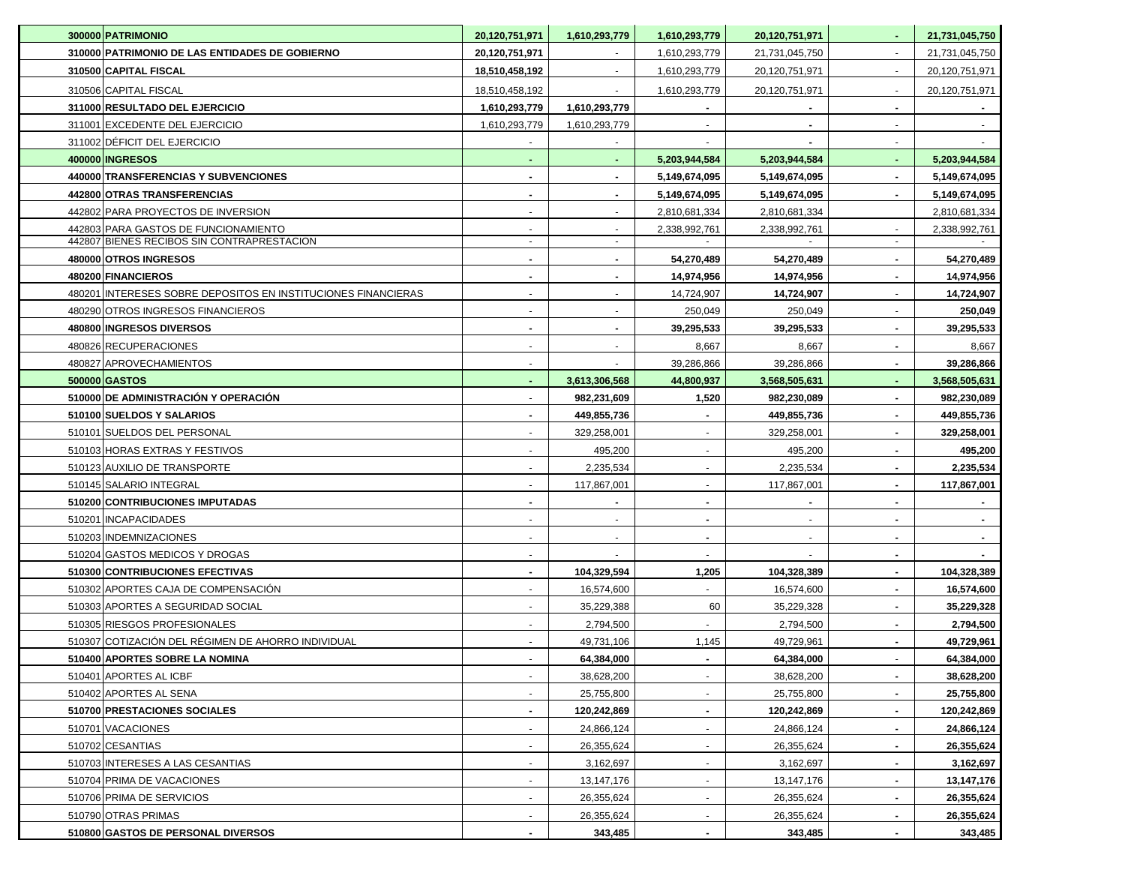| 300000 PATRIMONIO                                             | 20,120,751,971 | 1,610,293,779                | 1,610,293,779       | 20,120,751,971               | $\blacksquare$ | 21,731,045,750               |
|---------------------------------------------------------------|----------------|------------------------------|---------------------|------------------------------|----------------|------------------------------|
| 310000 PATRIMONIO DE LAS ENTIDADES DE GOBIERNO                | 20,120,751,971 | $\blacksquare$               | 1,610,293,779       | 21,731,045,750               | $\blacksquare$ | 21,731,045,750               |
| 310500 CAPITAL FISCAL                                         | 18,510,458,192 | $\overline{\phantom{a}}$     | 1,610,293,779       | 20,120,751,971               | $\blacksquare$ | 20,120,751,971               |
| 310506 CAPITAL FISCAL                                         | 18,510,458,192 |                              | 1,610,293,779       | 20,120,751,971               |                | 20,120,751,971               |
| 311000 RESULTADO DEL EJERCICIO                                | 1,610,293,779  | 1,610,293,779                |                     |                              |                |                              |
| 311001 EXCEDENTE DEL EJERCICIO                                | 1,610,293,779  | 1,610,293,779                |                     |                              |                |                              |
| 311002 DÉFICIT DEL EJERCICIO                                  |                |                              |                     |                              |                |                              |
| 400000 INGRESOS                                               |                |                              | 5,203,944,584       | 5,203,944,584                |                | 5,203,944,584                |
| 440000 TRANSFERENCIAS Y SUBVENCIONES                          |                |                              | 5,149,674,095       | 5,149,674,095                |                | 5,149,674,095                |
| 442800 OTRAS TRANSFERENCIAS                                   |                |                              | 5,149,674,095       | 5,149,674,095                |                | 5,149,674,095                |
| 442802 PARA PROYECTOS DE INVERSION                            |                |                              | 2,810,681,334       | 2,810,681,334                |                | 2,810,681,334                |
| 442803 PARA GASTOS DE FUNCIONAMIENTO                          |                |                              | 2,338,992,761       | 2,338,992,761                |                | 2,338,992,761                |
| 442807 BIENES RECIBOS SIN CONTRAPRESTACION                    | $\sim$         | $\blacksquare$               |                     |                              | $\sim$         |                              |
| 480000 OTROS INGRESOS                                         |                |                              | 54,270,489          | 54,270,489                   |                | 54,270,489                   |
| 480200 FINANCIEROS                                            |                |                              | 14,974,956          | 14,974,956                   |                | 14,974,956                   |
| 480201 INTERESES SOBRE DEPOSITOS EN INSTITUCIONES FINANCIERAS |                |                              | 14,724,907          | 14,724,907                   |                | 14,724,907                   |
| 480290 OTROS INGRESOS FINANCIEROS                             |                |                              | 250,049             | 250,049                      |                | 250,049                      |
| 480800 INGRESOS DIVERSOS                                      |                |                              | 39,295,533          | 39,295,533                   |                | 39,295,533                   |
| 480826 RECUPERACIONES                                         |                |                              | 8,667               | 8,667                        |                | 8,667                        |
| 480827 APROVECHAMIENTOS                                       |                |                              | 39,286,866          | 39,286,866                   |                | 39,286,866                   |
| 500000 GASTOS<br>510000 DE ADMINISTRACIÓN Y OPERACIÓN         |                | 3,613,306,568<br>982,231,609 | 44,800,937<br>1,520 | 3,568,505,631<br>982,230,089 |                | 3,568,505,631<br>982,230,089 |
| 510100 SUELDOS Y SALARIOS                                     |                | 449,855,736                  |                     | 449,855,736                  |                | 449,855,736                  |
| 510101 SUELDOS DEL PERSONAL                                   |                | 329,258,001                  |                     | 329,258,001                  | $\blacksquare$ | 329,258,001                  |
| 510103 HORAS EXTRAS Y FESTIVOS                                |                | 495,200                      |                     | 495,200                      |                | 495,200                      |
| 510123 AUXILIO DE TRANSPORTE                                  |                | 2,235,534                    | $\sim$              | 2,235,534                    |                | 2,235,534                    |
| 510145 SALARIO INTEGRAL                                       |                | 117,867,001                  |                     | 117,867,001                  |                | 117,867,001                  |
| 510200 CONTRIBUCIONES IMPUTADAS                               |                |                              |                     |                              |                |                              |
| 510201 INCAPACIDADES                                          |                |                              | $\sim$              |                              |                |                              |
| 510203 INDEMNIZACIONES                                        |                |                              |                     |                              |                |                              |
| 510204 GASTOS MEDICOS Y DROGAS                                |                |                              |                     |                              |                |                              |
| 510300 CONTRIBUCIONES EFECTIVAS                               |                | 104,329,594                  | 1,205               | 104,328,389                  | $\blacksquare$ | 104,328,389                  |
| 510302 APORTES CAJA DE COMPENSACIÓN                           |                | 16,574,600                   | $\sim$              | 16,574,600                   | $\blacksquare$ | 16,574,600                   |
| 510303 APORTES A SEGURIDAD SOCIAL                             |                | 35,229,388                   | 60                  | 35,229,328                   | $\blacksquare$ | 35,229,328                   |
| 510305 RIESGOS PROFESIONALES                                  |                | 2.794.500                    | $\sim$              | 2,794,500                    | $\blacksquare$ | 2,794,500                    |
| 510307 COTIZACIÓN DEL RÉGIMEN DE AHORRO INDIVIDUAL            |                | 49,731,106                   | 1,145               | 49,729,961                   | $\blacksquare$ | 49,729,961                   |
| 510400 APORTES SOBRE LA NOMINA                                |                | 64,384,000                   |                     | 64,384,000                   |                | 64,384,000                   |
| 510401 APORTES AL ICBF                                        |                | 38,628,200                   | $\sim$              | 38,628,200                   | $\blacksquare$ | 38,628,200                   |
| 510402 APORTES AL SENA                                        |                | 25,755,800                   | $\blacksquare$      | 25,755,800                   |                | 25,755,800                   |
| 510700 PRESTACIONES SOCIALES                                  |                | 120,242,869                  |                     | 120,242,869                  |                | 120,242,869                  |
| 510701 VACACIONES                                             |                | 24,866,124                   | $\sim$              | 24,866,124                   |                | 24,866,124                   |
| 510702 CESANTIAS                                              |                | 26,355,624                   | $\blacksquare$      | 26,355,624                   |                | 26,355,624                   |
| 510703 INTERESES A LAS CESANTIAS                              |                | 3,162,697                    |                     | 3,162,697                    |                | 3,162,697                    |
| 510704 PRIMA DE VACACIONES                                    |                | 13,147,176                   |                     | 13,147,176                   |                | 13,147,176                   |
| 510706 PRIMA DE SERVICIOS                                     |                | 26,355,624                   | $\sim$              | 26,355,624                   | $\blacksquare$ | 26,355,624                   |
| 510790 OTRAS PRIMAS                                           |                | 26,355,624                   | $\sim$              | 26,355,624                   |                | 26,355,624                   |
| 510800 GASTOS DE PERSONAL DIVERSOS                            |                | 343,485                      | $\blacksquare$      | 343,485                      |                | 343,485                      |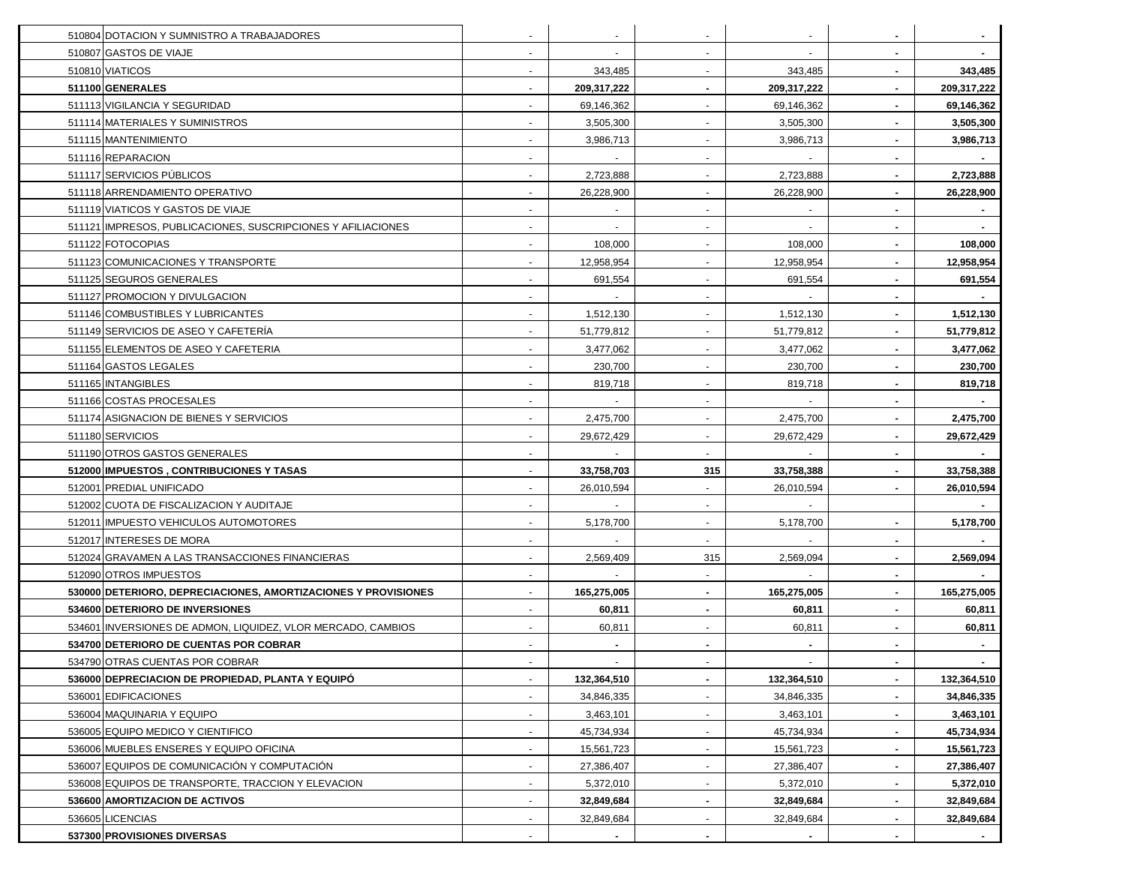| 510804 DOTACION Y SUMNISTRO A TRABAJADORES                     |        |                | $\sim$                   |             |                |             |
|----------------------------------------------------------------|--------|----------------|--------------------------|-------------|----------------|-------------|
| 510807 GASTOS DE VIAJE                                         |        | $\blacksquare$ | $\sim$                   | $\sim$      | $\blacksquare$ |             |
| 510810 VIATICOS                                                |        | 343,485        | $\sim$                   | 343,485     | $\blacksquare$ | 343,485     |
| 511100 GENERALES                                               |        | 209,317,222    | $\blacksquare$           | 209,317,222 | $\blacksquare$ | 209,317,222 |
| 511113 VIGILANCIA Y SEGURIDAD                                  |        | 69,146,362     | $\sim$                   | 69,146,362  |                | 69,146,362  |
| 511114 MATERIALES Y SUMINISTROS                                |        | 3,505,300      |                          | 3,505,300   |                | 3,505,300   |
| 511115 MANTENIMIENTO                                           |        | 3,986,713      |                          | 3,986,713   |                | 3,986,713   |
| 511116 REPARACION                                              |        |                |                          |             |                |             |
| 511117 SERVICIOS PÚBLICOS                                      |        | 2,723,888      |                          | 2,723,888   |                | 2,723,888   |
| 511118 ARRENDAMIENTO OPERATIVO                                 |        | 26,228,900     | $\sim$                   | 26,228,900  |                | 26,228,900  |
| 511119 VIATICOS Y GASTOS DE VIAJE                              |        |                |                          |             |                |             |
| 511121 IMPRESOS, PUBLICACIONES, SUSCRIPCIONES Y AFILIACIONES   |        |                | $\overline{\phantom{a}}$ |             |                |             |
| 511122 FOTOCOPIAS                                              |        | 108,000        | $\sim$                   | 108,000     |                | 108,000     |
| 511123 COMUNICACIONES Y TRANSPORTE                             |        | 12,958,954     | $\sim$                   | 12,958,954  |                | 12,958,954  |
| 511125 SEGUROS GENERALES                                       |        | 691,554        | $\sim$                   | 691,554     |                | 691,554     |
| 511127 PROMOCION Y DIVULGACION                                 |        |                |                          |             |                |             |
| 511146 COMBUSTIBLES Y LUBRICANTES                              |        | 1,512,130      |                          | 1,512,130   |                | 1,512,130   |
| 511149 SERVICIOS DE ASEO Y CAFETERIA                           |        | 51,779,812     |                          | 51,779,812  |                | 51,779,812  |
| 511155 ELEMENTOS DE ASEO Y CAFETERIA                           |        | 3,477,062      |                          | 3,477,062   |                | 3,477,062   |
| 511164 GASTOS LEGALES                                          |        | 230,700        | $\sim$                   | 230,700     |                | 230,700     |
| 511165 INTANGIBLES                                             |        | 819,718        |                          | 819,718     |                | 819,718     |
| 511166 COSTAS PROCESALES                                       |        |                | $\overline{\phantom{a}}$ |             |                |             |
| 511174 ASIGNACION DE BIENES Y SERVICIOS                        |        | 2,475,700      | $\sim$                   | 2,475,700   |                | 2,475,700   |
| 511180 SERVICIOS                                               |        | 29,672,429     | $\sim$                   | 29,672,429  |                | 29,672,429  |
| 511190 OTROS GASTOS GENERALES                                  |        |                | $\sim$                   |             | $\blacksquare$ |             |
| 512000 IMPUESTOS, CONTRIBUCIONES Y TASAS                       |        | 33,758,703     | 315                      | 33,758,388  | $\blacksquare$ | 33,758,388  |
| 512001 PREDIAL UNIFICADO                                       |        | 26,010,594     | $\sim$                   | 26,010,594  | $\blacksquare$ | 26,010,594  |
| 512002 CUOTA DE FISCALIZACION Y AUDITAJE                       |        |                | $\sim$                   |             |                |             |
| 512011 IMPUESTO VEHICULOS AUTOMOTORES                          |        | 5,178,700      | $\sim$                   | 5,178,700   | $\blacksquare$ | 5,178,700   |
| 512017 INTERESES DE MORA                                       |        |                | $\sim$                   |             |                |             |
| 512024 GRAVAMEN A LAS TRANSACCIONES FINANCIERAS                |        | 2,569,409      | 315                      | 2,569,094   |                | 2,569,094   |
| 512090 OTROS IMPUESTOS                                         |        |                | $\sim$                   |             |                |             |
| 530000 DETERIORO, DEPRECIACIONES, AMORTIZACIONES Y PROVISIONES |        | 165,275,005    | $\blacksquare$           | 165,275,005 |                | 165,275,005 |
| 534600 DETERIORO DE INVERSIONES                                |        | 60,811         |                          | 60,811      |                | 60,811      |
| 534601 INVERSIONES DE ADMON, LIQUIDEZ, VLOR MERCADO, CAMBIOS   |        | 60,811         |                          | 60,811      |                | 60,811      |
| 534700 DETERIORO DE CUENTAS POR COBRAR                         |        |                | $\sim$                   |             |                |             |
| 534790 OTRAS CUENTAS POR COBRAR                                | $\sim$ |                | $\sim$                   |             | $\sim$         |             |
| 536000 DEPRECIACION DE PROPIEDAD, PLANTA Y EQUIPO              |        | 132,364,510    | $\sim$                   | 132,364,510 | $\blacksquare$ | 132,364,510 |
| 536001 EDIFICACIONES                                           |        | 34,846,335     | $\sim$                   | 34,846,335  | $\blacksquare$ | 34,846,335  |
| 536004 MAQUINARIA Y EQUIPO                                     |        | 3,463,101      | $\overline{\phantom{a}}$ | 3,463,101   | $\blacksquare$ | 3,463,101   |
| 536005 EQUIPO MEDICO Y CIENTIFICO                              |        | 45,734,934     |                          | 45,734,934  |                | 45,734,934  |
| 536006 MUEBLES ENSERES Y EQUIPO OFICINA                        |        | 15,561,723     | $\sim$                   | 15,561,723  |                | 15,561,723  |
| 536007 EQUIPOS DE COMUNICACIÓN Y COMPUTACIÓN                   |        | 27,386,407     |                          | 27,386,407  |                | 27,386,407  |
| 536008 EQUIPOS DE TRANSPORTE, TRACCION Y ELEVACION             |        | 5,372,010      | $\sim$                   | 5,372,010   |                | 5,372,010   |
| 536600 AMORTIZACION DE ACTIVOS                                 |        | 32,849,684     | $\blacksquare$           | 32,849,684  |                | 32,849,684  |
| 536605 LICENCIAS                                               |        | 32,849,684     | $\sim$                   | 32,849,684  |                | 32,849,684  |
| 537300 PROVISIONES DIVERSAS                                    |        | $\blacksquare$ |                          | $\sim$      |                |             |